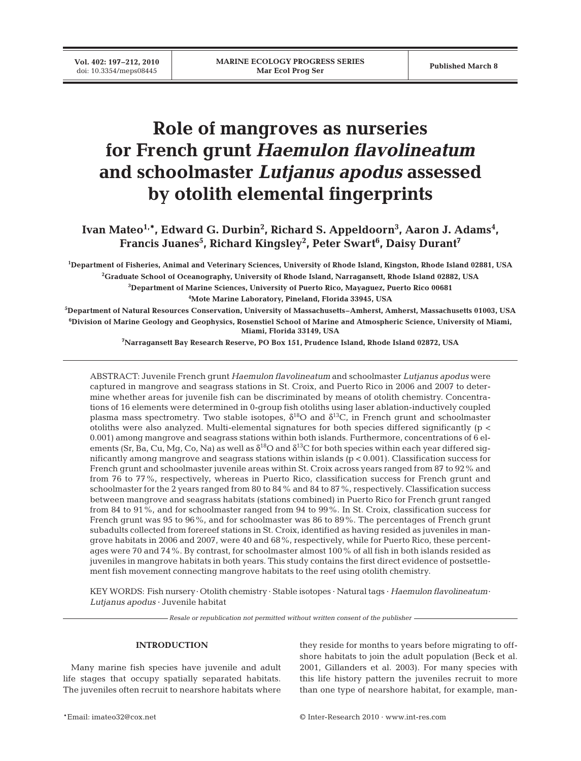# **Role of mangroves as nurseries for French grunt** *Haemulon flavolineatum* **and schoolmaster** *Lutjanus apodus* **assessed by otolith elemental fingerprints**

Ivan Mateo<sup>1,</sup>\*, Edward G. Durbin<sup>2</sup>, Richard S. Appeldoorn<sup>3</sup>, Aaron J. Adams<sup>4</sup>, **Francis Juanes5 , Richard Kingsley2 , Peter Swart6 , Daisy Durant7**

**1 Department of Fisheries, Animal and Veterinary Sciences, University of Rhode Island, Kingston, Rhode Island 02881, USA 2 Graduate School of Oceanography, University of Rhode Island, Narragansett, Rhode Island 02882, USA 3 Department of Marine Sciences, University of Puerto Rico, Mayaguez, Puerto Rico 00681**

**4 Mote Marine Laboratory, Pineland, Florida 33945, USA**

**5 Department of Natural Resources Conservation, University of Massachusetts–Amherst, Amherst, Massachusetts 01003, USA 6 Division of Marine Geology and Geophysics, Rosenstiel School of Marine and Atmospheric Science, University of Miami, Miami, Florida 33149, USA**

**7 Narragansett Bay Research Reserve, PO Box 151, Prudence Island, Rhode Island 02872, USA**

ABSTRACT: Juvenile French grunt *Haemulon flavolineatum* and schoolmaster *Lutjanus apodus* were captured in mangrove and seagrass stations in St. Croix, and Puerto Rico in 2006 and 2007 to determine whether areas for juvenile fish can be discriminated by means of otolith chemistry. Concentrations of 16 elements were determined in 0-group fish otoliths using laser ablation-inductively coupled plasma mass spectrometry. Two stable isotopes,  $\delta^{18}$ O and  $\delta^{13}$ C, in French grunt and schoolmaster otoliths were also analyzed. Multi-elemental signatures for both species differed significantly (p < 0.001) among mangrove and seagrass stations within both islands. Furthermore, concentrations of 6 elements (Sr, Ba, Cu, Mg, Co, Na) as well as  $\delta^{18}$ O and  $\delta^{13}$ C for both species within each year differed significantly among mangrove and seagrass stations within islands (p < 0.001). Classification success for French grunt and schoolmaster juvenile areas within St. Croix across years ranged from 87 to 92% and from 76 to 77%, respectively, whereas in Puerto Rico, classification success for French grunt and schoolmaster for the 2 years ranged from 80 to 84% and 84 to 87%, respectively. Classification success between mangrove and seagrass habitats (stations combined) in Puerto Rico for French grunt ranged from 84 to 91%, and for schoolmaster ranged from 94 to 99%. In St. Croix, classification success for French grunt was 95 to 96%, and for schoolmaster was 86 to 89%. The percentages of French grunt subadults collected from forereef stations in St. Croix, identified as having resided as juveniles in mangrove habitats in 2006 and 2007, were 40 and 68%, respectively, while for Puerto Rico, these percentages were 70 and 74%. By contrast, for schoolmaster almost 100% of all fish in both islands resided as juveniles in mangrove habitats in both years. This study contains the first direct evidence of postsettlement fish movement connecting mangrove habitats to the reef using otolith chemistry.

KEY WORDS: Fish nursery· Otolith chemistry · Stable isotopes · Natural tags · *Haemulon flavolineatum*· *Lutjanus apodus* · Juvenile habitat

*Resale or republication not permitted without written consent of the publisher*

## **INTRODUCTION**

Many marine fish species have juvenile and adult life stages that occupy spatially separated habitats. The juveniles often recruit to nearshore habitats where they reside for months to years before migrating to offshore habitats to join the adult population (Beck et al. 2001, Gillanders et al. 2003). For many species with this life history pattern the juveniles recruit to more than one type of nearshore habitat, for example, man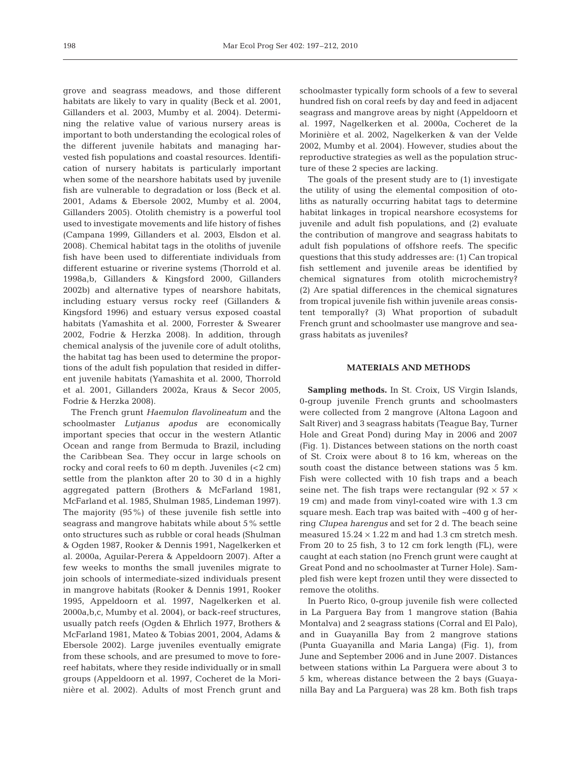grove and seagrass meadows, and those different habitats are likely to vary in quality (Beck et al. 2001, Gillanders et al. 2003, Mumby et al. 2004). Determining the relative value of various nursery areas is important to both understanding the ecological roles of the different juvenile habitats and managing harvested fish populations and coastal resources. Identification of nursery habitats is particularly important when some of the nearshore habitats used by juvenile fish are vulnerable to degradation or loss (Beck et al. 2001, Adams & Ebersole 2002, Mumby et al. 2004, Gillanders 2005). Otolith chemistry is a powerful tool used to investigate movements and life history of fishes (Campana 1999, Gillanders et al. 2003, Elsdon et al. 2008). Chemical habitat tags in the otoliths of juvenile fish have been used to differentiate individuals from different estuarine or riverine systems (Thorrold et al. 1998a,b, Gillanders & Kingsford 2000, Gillanders 2002b) and alternative types of nearshore habitats, including estuary versus rocky reef (Gillanders & Kingsford 1996) and estuary versus exposed coastal habitats (Yamashita et al. 2000, Forrester & Swearer 2002, Fodrie & Herzka 2008). In addition, through chemical analysis of the juvenile core of adult otoliths, the habitat tag has been used to determine the proportions of the adult fish population that resided in different juvenile habitats (Yamashita et al. 2000, Thorrold et al. 2001, Gillanders 2002a, Kraus & Secor 2005, Fodrie & Herzka 2008).

The French grunt *Haemulon flavolineatum* and the schoolmaster *Lutjanus apodus* are economically important species that occur in the western Atlantic Ocean and range from Bermuda to Brazil, including the Caribbean Sea. They occur in large schools on rocky and coral reefs to 60 m depth. Juveniles (<2 cm) settle from the plankton after 20 to 30 d in a highly aggregated pattern (Brothers & McFarland 1981, McFarland et al. 1985, Shulman 1985, Lindeman 1997). The majority (95%) of these juvenile fish settle into seagrass and mangrove habitats while about 5% settle onto structures such as rubble or coral heads (Shulman & Ogden 1987, Rooker & Dennis 1991, Nagelkerken et al. 2000a, Aguilar-Perera & Appeldoorn 2007). After a few weeks to months the small juveniles migrate to join schools of intermediate-sized individuals present in mangrove habitats (Rooker & Dennis 1991, Rooker 1995, Appeldoorn et al. 1997, Nagelkerken et al. 2000a,b,c, Mumby et al. 2004), or back-reef structures, usually patch reefs (Ogden & Ehrlich 1977, Brothers & McFarland 1981, Mateo & Tobias 2001, 2004, Adams & Ebersole 2002). Large juveniles eventually emigrate from these schools, and are presumed to move to forereef habitats, where they reside individually or in small groups (Appeldoorn et al. 1997, Cocheret de la Morinière et al. 2002). Adults of most French grunt and

schoolmaster typically form schools of a few to several hundred fish on coral reefs by day and feed in adjacent seagrass and mangrove areas by night (Appeldoorn et al. 1997, Nagelkerken et al. 2000a, Cocheret de la Morinière et al. 2002, Nagelkerken & van der Velde 2002, Mumby et al. 2004). However, studies about the reproductive strategies as well as the population structure of these 2 species are lacking.

The goals of the present study are to (1) investigate the utility of using the elemental composition of otoliths as naturally occurring habitat tags to determine habitat linkages in tropical nearshore ecosystems for juvenile and adult fish populations, and (2) evaluate the contribution of mangrove and seagrass habitats to adult fish populations of offshore reefs. The specific questions that this study addresses are: (1) Can tropical fish settlement and juvenile areas be identified by chemical signatures from otolith microchemistry? (2) Are spatial differences in the chemical signatures from tropical juvenile fish within juvenile areas consistent temporally? (3) What proportion of subadult French grunt and schoolmaster use mangrove and seagrass habitats as juveniles?

## **MATERIALS AND METHODS**

**Sampling methods.** In St. Croix, US Virgin Islands, 0-group juvenile French grunts and schoolmasters were collected from 2 mangrove (Altona Lagoon and Salt River) and 3 seagrass habitats (Teague Bay, Turner Hole and Great Pond) during May in 2006 and 2007 (Fig. 1). Distances between stations on the north coast of St. Croix were about 8 to 16 km, whereas on the south coast the distance between stations was 5 km. Fish were collected with 10 fish traps and a beach seine net. The fish traps were rectangular ( $92 \times 57 \times$ 19 cm) and made from vinyl-coated wire with 1.3 cm square mesh. Each trap was baited with ~400 g of herring *Clupea harengus* and set for 2 d. The beach seine measured  $15.24 \times 1.22$  m and had 1.3 cm stretch mesh. From 20 to 25 fish, 3 to 12 cm fork length (FL), were caught at each station (no French grunt were caught at Great Pond and no schoolmaster at Turner Hole). Sampled fish were kept frozen until they were dissected to remove the otoliths.

In Puerto Rico, 0-group juvenile fish were collected in La Parguera Bay from 1 mangrove station (Bahia Montalva) and 2 seagrass stations (Corral and El Palo), and in Guayanilla Bay from 2 mangrove stations (Punta Guayanilla and Maria Langa) (Fig. 1), from June and September 2006 and in June 2007. Distances between stations within La Parguera were about 3 to 5 km, whereas distance between the 2 bays (Guayanilla Bay and La Parguera) was 28 km. Both fish traps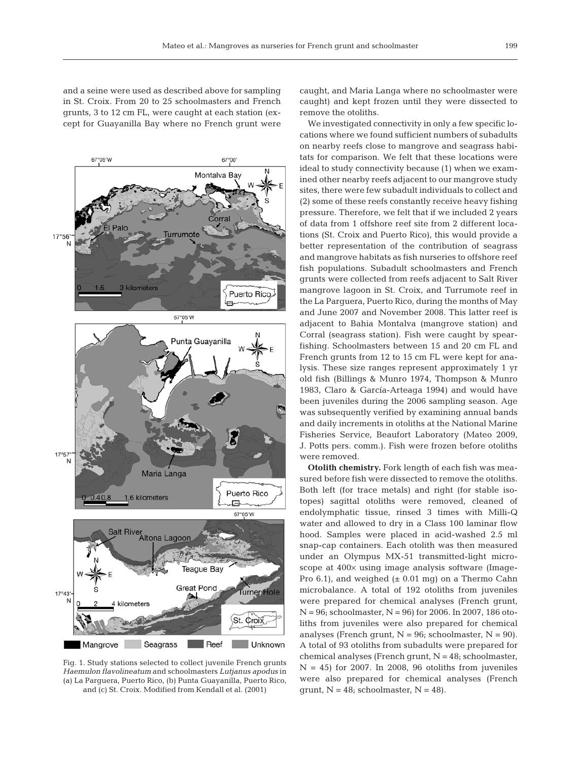and a seine were used as described above for sampling in St. Croix. From 20 to 25 schoolmasters and French grunts, 3 to 12 cm FL, were caught at each station (except for Guayanilla Bay where no French grunt were



Fig. 1. Study stations selected to collect juvenile French grunts *Haemulon flavolineatum* and schoolmasters *Lutjanus apodus* in (a) La Parguera, Puerto Rico, (b) Punta Guayanilla, Puerto Rico, and (c) St. Croix. Modified from Kendall et al. (2001)

caught, and Maria Langa where no schoolmaster were caught) and kept frozen until they were dissected to remove the otoliths.

We investigated connectivity in only a few specific locations where we found sufficient numbers of subadults on nearby reefs close to mangrove and seagrass habitats for comparison. We felt that these locations were ideal to study connectivity because (1) when we examined other nearby reefs adjacent to our mangrove study sites, there were few subadult individuals to collect and (2) some of these reefs constantly receive heavy fishing pressure. Therefore, we felt that if we included 2 years of data from 1 offshore reef site from 2 different locations (St. Croix and Puerto Rico), this would provide a better representation of the contribution of seagrass and mangrove habitats as fish nurseries to offshore reef fish populations. Subadult schoolmasters and French grunts were collected from reefs adjacent to Salt River mangrove lagoon in St. Croix, and Turrumote reef in the La Parguera, Puerto Rico, during the months of May and June 2007 and November 2008. This latter reef is adjacent to Bahia Montalva (mangrove station) and Corral (seagrass station). Fish were caught by spearfishing. Schoolmasters between 15 and 20 cm FL and French grunts from 12 to 15 cm FL were kept for analysis. These size ranges represent approximately 1 yr old fish (Billings & Munro 1974, Thompson & Munro 1983, Claro & García-Arteaga 1994) and would have been juveniles during the 2006 sampling season. Age was subsequently verified by examining annual bands and daily increments in otoliths at the National Marine Fisheries Service, Beaufort Laboratory (Mateo 2009, J. Potts pers. comm.). Fish were frozen before otoliths were removed.

**Otolith chemistry.** Fork length of each fish was measured before fish were dissected to remove the otoliths. Both left (for trace metals) and right (for stable isotopes) sagittal otoliths were removed, cleaned of endolymphatic tissue, rinsed 3 times with Milli-Q water and allowed to dry in a Class 100 laminar flow hood. Samples were placed in acid-washed 2.5 ml snap-cap containers. Each otolith was then measured under an Olympus MX-51 transmitted-light microscope at 400× using image analysis software (Image-Pro 6.1), and weighed  $(\pm 0.01 \text{ mg})$  on a Thermo Cahn microbalance. A total of 192 otoliths from juveniles were prepared for chemical analyses (French grunt,  $N = 96$ ; schoolmaster,  $N = 96$ ) for 2006. In 2007, 186 otoliths from juveniles were also prepared for chemical analyses (French grunt,  $N = 96$ ; schoolmaster,  $N = 90$ ). A total of 93 otoliths from subadults were prepared for chemical analyses (French grunt,  $N = 48$ ; schoolmaster,  $N = 45$ ) for 2007. In 2008, 96 otoliths from juveniles were also prepared for chemical analyses (French grunt,  $N = 48$ ; schoolmaster,  $N = 48$ ).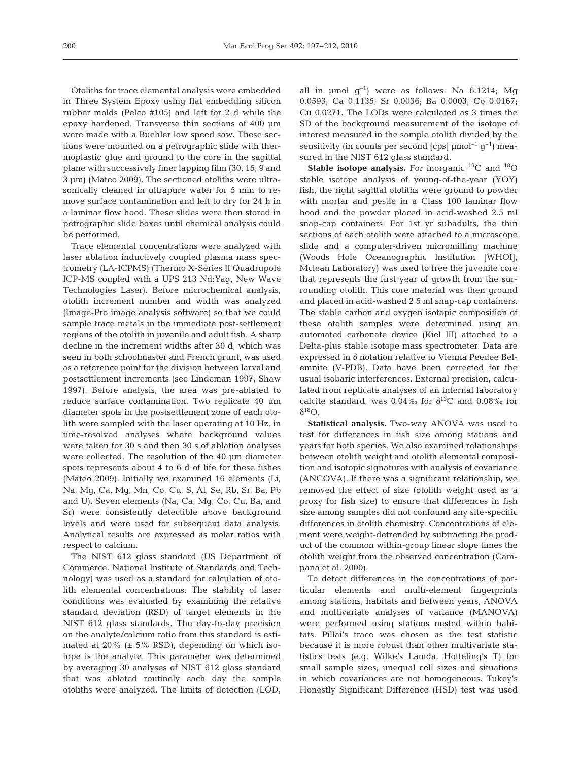Otoliths for trace elemental analysis were embedded in Three System Epoxy using flat embedding silicon rubber molds (Pelco #105) and left for 2 d while the epoxy hardened. Transverse thin sections of 400 µm were made with a Buehler low speed saw. These sections were mounted on a petrographic slide with thermoplastic glue and ground to the core in the sagittal plane with successively finer lapping film (30, 15, 9 and 3 µm) (Mateo 2009). The sectioned otoliths were ultrasonically cleaned in ultrapure water for 5 min to remove surface contamination and left to dry for 24 h in a laminar flow hood. These slides were then stored in petrographic slide boxes until chemical analysis could be performed.

Trace elemental concentrations were analyzed with laser ablation inductively coupled plasma mass spectrometry (LA-ICPMS) (Thermo X-Series II Quadrupole ICP-MS coupled with a UPS 213 Nd:Yag, New Wave Technologies Laser). Before microchemical analysis, otolith increment number and width was analyzed (Image-Pro image analysis software) so that we could sample trace metals in the immediate post-settlement regions of the otolith in juvenile and adult fish. A sharp decline in the increment widths after 30 d, which was seen in both schoolmaster and French grunt, was used as a reference point for the division between larval and postsettlement increments (see Lindeman 1997, Shaw 1997). Before analysis, the area was pre-ablated to reduce surface contamination. Two replicate 40 µm diameter spots in the postsettlement zone of each otolith were sampled with the laser operating at 10 Hz, in time-resolved analyses where background values were taken for 30 s and then 30 s of ablation analyses were collected. The resolution of the 40 µm diameter spots represents about 4 to 6 d of life for these fishes (Mateo 2009). Initially we examined 16 elements (Li, Na, Mg, Ca, Mg, Mn, Co, Cu, S, Al, Se, Rb, Sr, Ba, Pb and U). Seven elements (Na, Ca, Mg, Co, Cu, Ba, and Sr) were consistently detectible above background levels and were used for subsequent data analysis. Analytical results are expressed as molar ratios with respect to calcium.

The NIST 612 glass standard (US Department of Commerce, National Institute of Standards and Technology) was used as a standard for calculation of otolith elemental concentrations. The stability of laser conditions was evaluated by examining the relative standard deviation (RSD) of target elements in the NIST 612 glass standards. The day-to-day precision on the analyte/calcium ratio from this standard is estimated at  $20\%$  ( $\pm$  5% RSD), depending on which isotope is the analyte. This parameter was determined by averaging 30 analyses of NIST 612 glass standard that was ablated routinely each day the sample otoliths were analyzed. The limits of detection (LOD,

all in  $\mu$ mol  $g^{-1}$ ) were as follows: Na 6.1214; Mg 0.0593; Ca 0.1135; Sr 0.0036; Ba 0.0003; Co 0.0167; Cu 0.0271. The LODs were calculated as 3 times the SD of the background measurement of the isotope of interest measured in the sample otolith divided by the sensitivity (in counts per second [cps]  $\mu$ mol<sup>-1</sup> g<sup>-1</sup>) measured in the NIST 612 glass standard.

**Stable isotope analysis.** For inorganic <sup>13</sup>C and <sup>18</sup>O stable isotope analysis of young-of-the-year (YOY) fish, the right sagittal otoliths were ground to powder with mortar and pestle in a Class 100 laminar flow hood and the powder placed in acid-washed 2.5 ml snap-cap containers. For 1st yr subadults, the thin sections of each otolith were attached to a microscope slide and a computer-driven micromilling machine (Woods Hole Oceanographic Institution [WHOI], Mclean Laboratory) was used to free the juvenile core that represents the first year of growth from the surrounding otolith. This core material was then ground and placed in acid-washed 2.5 ml snap-cap containers. The stable carbon and oxygen isotopic composition of these otolith samples were determined using an automated carbonate device (Kiel III) attached to a Delta-plus stable isotope mass spectrometer. Data are expressed in δ notation relative to Vienna Peedee Belemnite (V-PDB). Data have been corrected for the usual isobaric interferences. External precision, calculated from replicate analyses of an internal laboratory calcite standard, was  $0.04\%$  for  $\delta^{13}$ C and  $0.08\%$  for  $δ<sup>18</sup>O.$ 

**Statistical analysis.** Two-way ANOVA was used to test for differences in fish size among stations and years for both species. We also examined relationships between otolith weight and otolith elemental composition and isotopic signatures with analysis of covariance (ANCOVA). If there was a significant relationship, we removed the effect of size (otolith weight used as a proxy for fish size) to ensure that differences in fish size among samples did not confound any site-specific differences in otolith chemistry. Concentrations of element were weight-detrended by subtracting the product of the common within-group linear slope times the otolith weight from the observed concentration (Campana et al. 2000).

To detect differences in the concentrations of particular elements and multi-element fingerprints among stations, habitats and between years, ANOVA and multivariate analyses of variance (MANOVA) were performed using stations nested within habitats. Pillai's trace was chosen as the test statistic because it is more robust than other multivariate statistics tests (e.g. Wilke's Lamda, Hotteling's T) for small sample sizes, unequal cell sizes and situations in which covariances are not homogeneous. Tukey's Honestly Significant Difference (HSD) test was used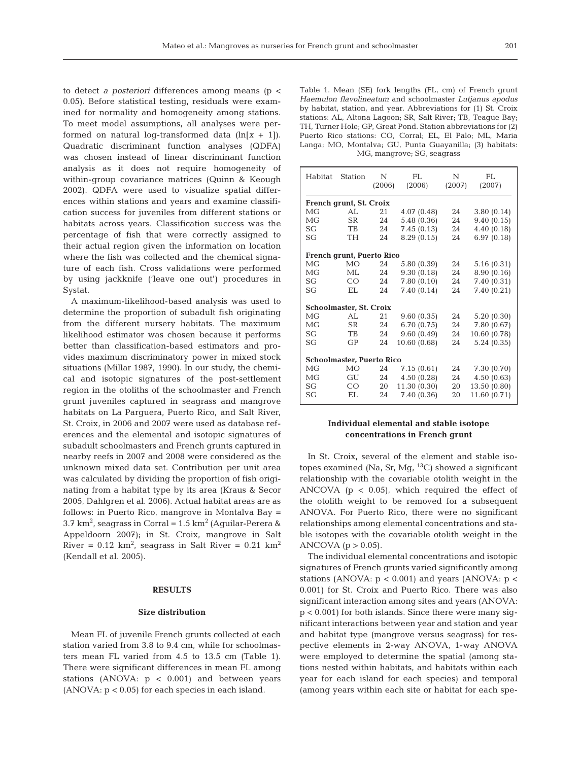to detect *a posteriori* differences among means (p < 0.05). Before statistical testing, residuals were examined for normality and homogeneity among stations. To meet model assumptions, all analyses were performed on natural log-transformed data  $(\ln|x + 1|)$ . Quadratic discriminant function analyses (QDFA) was chosen instead of linear discriminant function analysis as it does not require homogeneity of within-group covariance matrices (Quinn & Keough 2002). QDFA were used to visualize spatial differences within stations and years and examine classification success for juveniles from different stations or habitats across years. Classification success was the percentage of fish that were correctly assigned to their actual region given the information on location where the fish was collected and the chemical signature of each fish. Cross validations were performed by using jackknife ('leave one out') procedures in Systat.

A maximum-likelihood-based analysis was used to determine the proportion of subadult fish originating from the different nursery habitats. The maximum likelihood estimator was chosen because it performs better than classification-based estimators and provides maximum discriminatory power in mixed stock situations (Millar 1987, 1990). In our study, the chemical and isotopic signatures of the post-settlement region in the otoliths of the schoolmaster and French grunt juveniles captured in seagrass and mangrove habitats on La Parguera, Puerto Rico, and Salt River, St. Croix, in 2006 and 2007 were used as database references and the elemental and isotopic signatures of subadult schoolmasters and French grunts captured in nearby reefs in 2007 and 2008 were considered as the unknown mixed data set. Contribution per unit area was calculated by dividing the proportion of fish originating from a habitat type by its area (Kraus & Secor 2005, Dahlgren et al. 2006). Actual habitat areas are as follows: in Puerto Rico, mangrove in Montalva Bay = 3.7 km<sup>2</sup>, seagrass in Corral = 1.5 km<sup>2</sup> (Aguilar-Perera & Appeldoorn 2007); in St. Croix, mangrove in Salt River =  $0.12 \text{ km}^2$ , seagrass in Salt River =  $0.21 \text{ km}^2$ (Kendall et al. 2005).

### **RESULTS**

#### **Size distribution**

Mean FL of juvenile French grunts collected at each station varied from 3.8 to 9.4 cm, while for schoolmasters mean FL varied from 4.5 to 13.5 cm (Table 1). There were significant differences in mean FL among stations (ANOVA: p < 0.001) and between years (ANOVA:  $p < 0.05$ ) for each species in each island.

Table 1. Mean (SE) fork lengths (FL, cm) of French grunt *Haemulon flavolineatum* and schoolmaster *Lutjanus apodus* by habitat, station, and year. Abbreviations for (1) St. Croix stations: AL, Altona Lagoon; SR, Salt River; TB, Teague Bay; TH, Turner Hole; GP, Great Pond. Station abbreviations for (2) Puerto Rico stations: CO, Corral; EL, El Palo; ML, Maria Langa; MO, Montalva; GU, Punta Guayanilla; (3) habitats: MG, mangrove; SG, seagrass

| Habitat                          | Station                 | N<br>(2006) | FL.<br>(2006) | N<br>(2007) | FL<br>(2007) |  |  |  |  |  |
|----------------------------------|-------------------------|-------------|---------------|-------------|--------------|--|--|--|--|--|
| French grunt, St. Croix          |                         |             |               |             |              |  |  |  |  |  |
| MG                               | AL.                     | 21          | 4.07 (0.48)   | 24          | 3.80(0.14)   |  |  |  |  |  |
| MG                               | SR                      | 24          | 5.48 (0.36)   | 24          | 9.40(0.15)   |  |  |  |  |  |
| SG                               | TB.                     | 24          | 7.45(0.13)    | 24          | 4.40(0.18)   |  |  |  |  |  |
| SG                               | TH                      | 24          | 8.29 (0.15)   | 24          | 6.97(0.18)   |  |  |  |  |  |
| French grunt, Puerto Rico        |                         |             |               |             |              |  |  |  |  |  |
| MG                               | MO.                     | 24          | 5.80 (0.39)   | 24          | 5.16(0.31)   |  |  |  |  |  |
| МG                               | ML                      | 24          | 9.30(0.18)    | 24          | 8.90 (0.16)  |  |  |  |  |  |
| SG                               | CO                      | 24          | 7.80(0.10)    | 24          | 7.40 (0.31)  |  |  |  |  |  |
| SG                               | EL.                     | 24          | 7.40(0.14)    | 24          | 7.40(0.21)   |  |  |  |  |  |
|                                  | Schoolmaster, St. Croix |             |               |             |              |  |  |  |  |  |
| МG                               | AL                      | 21          | 9.60(0.35)    | 24          | 5.20(0.30)   |  |  |  |  |  |
| MG                               | <b>SR</b>               | 24          | 6.70(0.75)    | 24          | 7.80 (0.67)  |  |  |  |  |  |
| SG                               | TB                      | 24          | 9.60(0.49)    | 24          | 10.60 (0.78) |  |  |  |  |  |
| SG                               | GP                      | 24          | 10.60 (0.68)  | 24          | 5.24(0.35)   |  |  |  |  |  |
| <b>Schoolmaster, Puerto Rico</b> |                         |             |               |             |              |  |  |  |  |  |
| MG                               | <b>MO</b>               | 24          | 7.15(0.61)    | 24          | 7.30 (0.70)  |  |  |  |  |  |
| MG                               | GU                      | 24          | 4.50 (0.28)   | 24          | 4.50(0.63)   |  |  |  |  |  |
| SG                               | CO                      | 20          | 11.30 (0.30)  | 20          | 13.50 (0.80) |  |  |  |  |  |
| SG                               | EL.                     | 24          | 7.40 (0.36)   | 20          | 11.60 (0.71) |  |  |  |  |  |

## **Individual elemental and stable isotope concentrations in French grunt**

In St. Croix, several of the element and stable isotopes examined (Na, Sr, Mg,  $^{13}$ C) showed a significant relationship with the covariable otolith weight in the ANCOVA ( $p < 0.05$ ), which required the effect of the otolith weight to be removed for a subsequent ANOVA. For Puerto Rico, there were no significant relationships among elemental concentrations and stable isotopes with the covariable otolith weight in the ANCOVA ( $p > 0.05$ ).

The individual elemental concentrations and isotopic signatures of French grunts varied significantly among stations (ANOVA:  $p < 0.001$ ) and years (ANOVA:  $p <$ 0.001) for St. Croix and Puerto Rico. There was also significant interaction among sites and years (ANOVA: p < 0.001) for both islands. Since there were many significant interactions between year and station and year and habitat type (mangrove versus seagrass) for respective elements in 2-way ANOVA, 1-way ANOVA were employed to determine the spatial (among stations nested within habitats, and habitats within each year for each island for each species) and temporal (among years within each site or habitat for each spe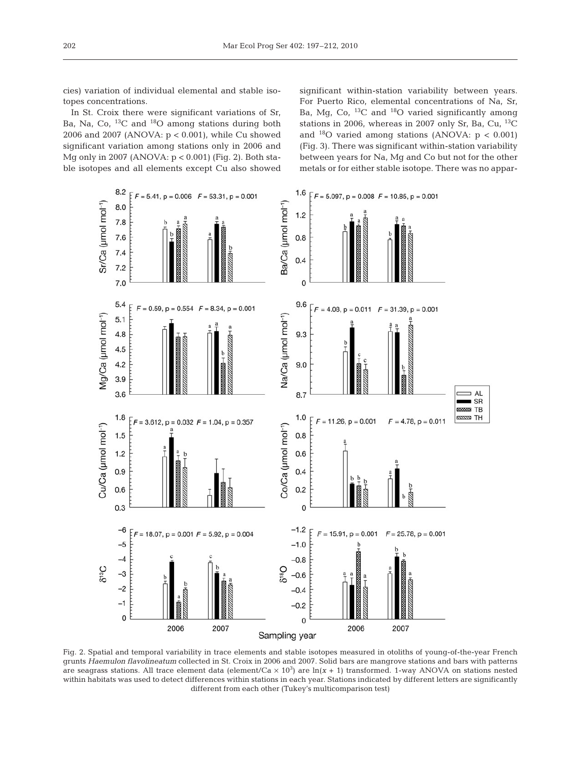cies) variation of individual elemental and stable isotopes concentrations.

In St. Croix there were significant variations of Sr, Ba, Na, Co, <sup>13</sup>C and <sup>18</sup>O among stations during both 2006 and 2007 (ANOVA: p < 0.001), while Cu showed significant variation among stations only in 2006 and Mg only in 2007 (ANOVA: p < 0.001) (Fig. 2). Both stable isotopes and all elements except Cu also showed significant within-station variability between years. For Puerto Rico, elemental concentrations of Na, Sr, Ba, Mg, Co,  $^{13}$ C and  $^{18}$ O varied significantly among stations in 2006, whereas in 2007 only Sr, Ba, Cu, 13C and  $^{18}$ O varied among stations (ANOVA:  $p < 0.001$ ) (Fig. 3). There was significant within-station variability between years for Na, Mg and Co but not for the other metals or for either stable isotope. There was no appar-



Fig. 2. Spatial and temporal variability in trace elements and stable isotopes measured in otoliths of young-of-the-year French grunts *Haemulon flavolineatum* collected in St. Croix in 2006 and 2007. Solid bars are mangrove stations and bars with patterns are seagrass stations. All trace element data (element/Ca  $\times$  10<sup>3</sup>) are  $\ln(x + 1)$  transformed. 1-way ANOVA on stations nested within habitats was used to detect differences within stations in each year. Stations indicated by different letters are significantly different from each other (Tukey's multicomparison test)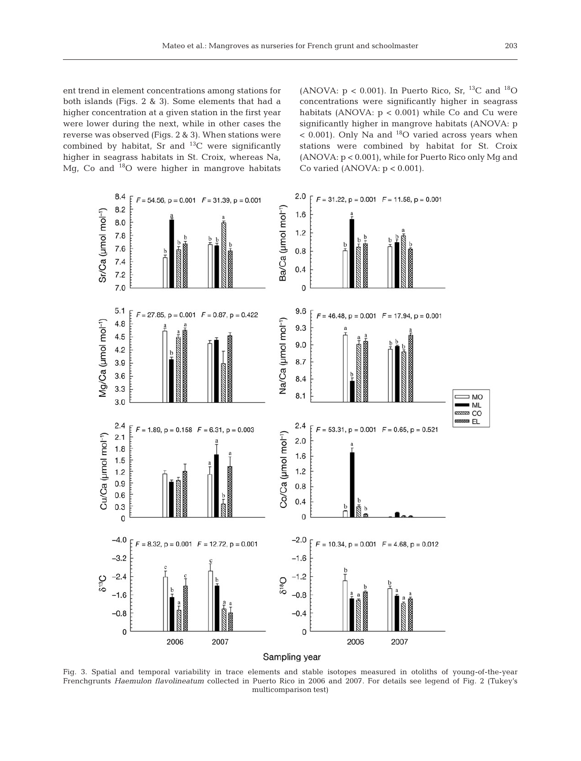ent trend in element concentrations among stations for both islands (Figs. 2 & 3). Some elements that had a higher concentration at a given station in the first year were lower during the next, while in other cases the reverse was observed (Figs. 2 & 3). When stations were combined by habitat, Sr and 13C were significantly higher in seagrass habitats in St. Croix, whereas Na, Mg, Co and <sup>18</sup>O were higher in mangrove habitats

(ANOVA:  $p < 0.001$ ). In Puerto Rico, Sr, <sup>13</sup>C and <sup>18</sup>O concentrations were significantly higher in seagrass habitats (ANOVA:  $p < 0.001$ ) while Co and Cu were significantly higher in mangrove habitats (ANOVA: p  $<$  0.001). Only Na and  $^{18}$ O varied across years when stations were combined by habitat for St. Croix (ANOVA: p < 0.001), while for Puerto Rico only Mg and Co varied (ANOVA:  $p < 0.001$ ).



Fig. 3. Spatial and temporal variability in trace elements and stable isotopes measured in otoliths of young-of-the-year Frenchgrunts *Haemulon flavolineatum* collected in Puerto Rico in 2006 and 2007. For details see legend of Fig. 2 (Tukey's multicomparison test)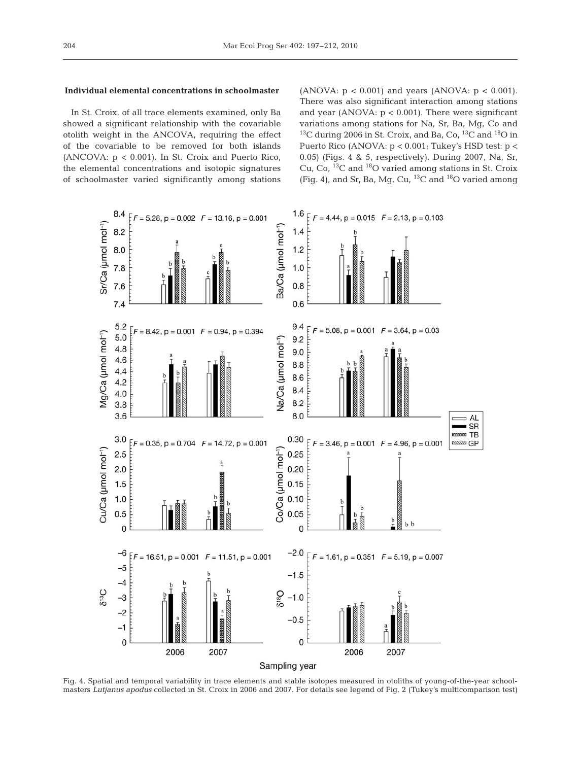#### **Individual elemental concentrations in schoolmaster**

In St. Croix, of all trace elements examined, only Ba showed a significant relationship with the covariable otolith weight in the ANCOVA, requiring the effect of the covariable to be removed for both islands (ANCOVA: p < 0.001). In St. Croix and Puerto Rico, the elemental concentrations and isotopic signatures of schoolmaster varied significantly among stations

(ANOVA:  $p < 0.001$ ) and years (ANOVA:  $p < 0.001$ ). There was also significant interaction among stations and year (ANOVA:  $p < 0.001$ ). There were significant variations among stations for Na, Sr, Ba, Mg, Co and <sup>13</sup>C during 2006 in St. Croix, and Ba, Co, <sup>13</sup>C and <sup>18</sup>O in Puerto Rico (ANOVA: p < 0.001; Tukey's HSD test: p < 0.05) (Figs. 4 & 5, respectively). During 2007, Na, Sr, Cu, Co, 13C and 18O varied among stations in St. Croix (Fig. 4), and Sr, Ba, Mg, Cu,  $^{13}$ C and  $^{18}$ O varied among



Fig. 4. Spatial and temporal variability in trace elements and stable isotopes measured in otoliths of young-of-the-year schoolmasters *Lutjanus apodus* collected in St. Croix in 2006 and 2007. For details see legend of Fig. 2 (Tukey's multicomparison test)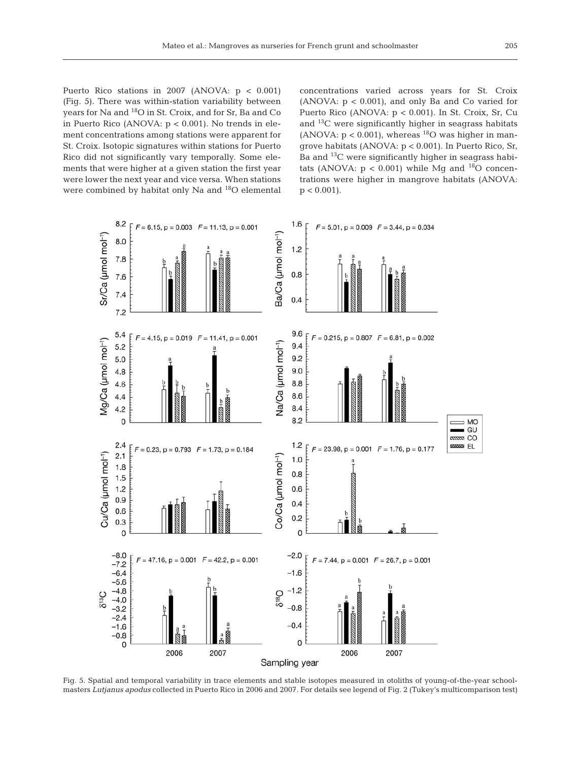Puerto Rico stations in 2007 (ANOVA: p < 0.001) (Fig. 5). There was within-station variability between years for Na and 18O in St. Croix, and for Sr, Ba and Co in Puerto Rico (ANOVA: p < 0.001). No trends in element concentrations among stations were apparent for St. Croix. Isotopic signatures within stations for Puerto Rico did not significantly vary temporally. Some elements that were higher at a given station the first year were lower the next year and vice versa. When stations were combined by habitat only Na and <sup>18</sup>O elemental

concentrations varied across years for St. Croix (ANOVA: p < 0.001), and only Ba and Co varied for Puerto Rico (ANOVA: p < 0.001). In St. Croix, Sr, Cu and 13C were significantly higher in seagrass habitats (ANOVA:  $p < 0.001$ ), whereas <sup>18</sup>O was higher in mangrove habitats (ANOVA: p < 0.001). In Puerto Rico, Sr, Ba and 13C were significantly higher in seagrass habitats (ANOVA:  $p < 0.001$ ) while Mg and <sup>18</sup>O concentrations were higher in mangrove habitats (ANOVA:  $p < 0.001$ ).



Fig. 5. Spatial and temporal variability in trace elements and stable isotopes measured in otoliths of young-of-the-year schoolmasters *Lutjanus apodus* collected in Puerto Rico in 2006 and 2007. For details see legend of Fig. 2 (Tukey's multicomparison test)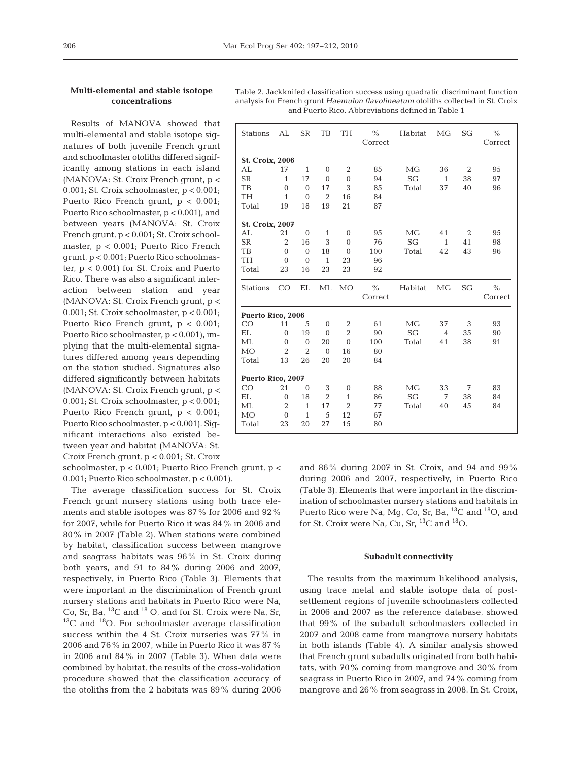## **Multi-elemental and stable isotope concentrations**

Results of MANOVA showed that multi-elemental and stable isotope signatures of both juvenile French grunt and schoolmaster otoliths differed significantly among stations in each island (MANOVA: St. Croix French grunt, p < 0.001; St. Croix schoolmaster, p < 0.001; Puerto Rico French grunt, p < 0.001; Puerto Rico schoolmaster, p < 0.001), and between years (MANOVA: St. Croix French grunt, p < 0.001; St. Croix schoolmaster, p < 0.001; Puerto Rico French grunt, p < 0.001; Puerto Rico schoolmaster, p < 0.001) for St. Croix and Puerto Rico. There was also a significant interaction between station and year (MANOVA: St. Croix French grunt, p < 0.001; St. Croix schoolmaster, p < 0.001; Puerto Rico French grunt, p < 0.001; Puerto Rico schoolmaster, p < 0.001), implying that the multi-elemental signatures differed among years depending on the station studied. Signatures also differed significantly between habitats (MANOVA: St. Croix French grunt, p < 0.001; St. Croix schoolmaster, p < 0.001; Puerto Rico French grunt, p < 0.001; Puerto Rico schoolmaster, p < 0.001). Significant interactions also existed between year and habitat (MANOVA: St. Croix French grunt, p < 0.001; St. Croix

schoolmaster, p < 0.001; Puerto Rico French grunt, p < 0.001; Puerto Rico schoolmaster, p < 0.001).

The average classification success for St. Croix French grunt nursery stations using both trace elements and stable isotopes was 87% for 2006 and 92% for 2007, while for Puerto Rico it was 84% in 2006 and 80% in 2007 (Table 2). When stations were combined by habitat, classification success between mangrove and seagrass habitats was 96% in St. Croix during both years, and 91 to 84% during 2006 and 2007, respectively, in Puerto Rico (Table 3). Elements that were important in the discrimination of French grunt nursery stations and habitats in Puerto Rico were Na, Co, Sr, Ba, 13C and 18 O, and for St. Croix were Na, Sr, 13C and 18O. For schoolmaster average classification success within the 4 St. Croix nurseries was 77% in 2006 and 76% in 2007, while in Puerto Rico it was 87% in 2006 and 84% in 2007 (Table 3). When data were combined by habitat, the results of the cross-validation procedure showed that the classification accuracy of the otoliths from the 2 habitats was 89% during 2006

Table 2. Jackknifed classification success using quadratic discriminant function analysis for French grunt *Haemulon flavolineatum* otoliths collected in St. Croix and Puerto Rico. Abbreviations defined in Table 1

| <b>Stations</b>        | AL             | <b>SR</b>      | TB             | TH               | $\%$<br>Correct | Habitat | MG             | SG             | $\%$<br>Correct |  |  |
|------------------------|----------------|----------------|----------------|------------------|-----------------|---------|----------------|----------------|-----------------|--|--|
| <b>St. Croix, 2006</b> |                |                |                |                  |                 |         |                |                |                 |  |  |
| AL                     | 17             | $\mathbf{1}$   | $\Omega$       | $\overline{2}$   | 85              | MG      | 36             | $\overline{2}$ | 95              |  |  |
| <b>SR</b>              | $\mathbf{1}$   | 17             | $\overline{0}$ | $\mathbf{0}$     | 94              | SG      | $\mathbf{1}$   | 38             | 97              |  |  |
| TB                     | $\mathbf{0}$   | $\overline{0}$ | 17             | 3                | 85              | Total   | 37             | 40             | 96              |  |  |
| TH                     | $\mathbf{1}$   | $\overline{0}$ | $\overline{2}$ | 16               | 84              |         |                |                |                 |  |  |
| Total                  | 19             | 18             | 19             | 21               | 87              |         |                |                |                 |  |  |
| St. Croix, 2007        |                |                |                |                  |                 |         |                |                |                 |  |  |
| AL                     | 21             | $\mathbf{0}$   | $\mathbf{1}$   | $\mathbf{0}$     | 95              | MG      | 41             | $\overline{2}$ | 95              |  |  |
| <b>SR</b>              | $\overline{2}$ | 16             | 3              | $\Omega$         | 76              | SG      | $\mathbf{1}$   | 41             | 98              |  |  |
| TB                     | $\Omega$       | $\Omega$       | 18             | $\Omega$         | 100             | Total   | 42             | 43             | 96              |  |  |
| TH                     | $\Omega$       | $\mathbf{0}$   | $\mathbf{1}$   | 23               | 96              |         |                |                |                 |  |  |
| Total                  | 23             | 16             | 23             | 23               | 92              |         |                |                |                 |  |  |
| <b>Stations</b>        | CO             | EL             | ML             | <b>MO</b>        | $\%$            | Habitat | MG             | SG             | $\%$            |  |  |
|                        |                |                |                |                  | Correct         |         |                |                | Correct         |  |  |
| Puerto Rico, 2006      |                |                |                |                  |                 |         |                |                |                 |  |  |
| CO                     | 11             | 5              | $\overline{0}$ | $\boldsymbol{2}$ | 61              | MG      | 37             | 3              | 93              |  |  |
| EL                     | $\Omega$       | 19             | $\Omega$       | $\overline{2}$   | 90              | SG      | $\overline{4}$ | 35             | 90              |  |  |
| ML                     | $\Omega$       | $\overline{0}$ | 20             | $\mathbf{0}$     | 100             | Total   | 41             | 38             | 91              |  |  |
| <b>MO</b>              | $\overline{2}$ | $\overline{2}$ | $\mathbf{0}$   | 16               | 80              |         |                |                |                 |  |  |
| Total                  | 13             | 26             | 20             | 20               | 84              |         |                |                |                 |  |  |
| Puerto Rico, 2007      |                |                |                |                  |                 |         |                |                |                 |  |  |
| CO                     | 21             | $\overline{0}$ | 3              | $\mathbf{0}$     | 88              | MG      | 33             | 7              | 83              |  |  |
| ΕL                     | $\Omega$       | 18             | $\overline{2}$ | $\mathbf{1}$     | 86              | SG      | 7              | 38             | 84              |  |  |
| ML                     | $\overline{2}$ | $\mathbf{1}$   | 17             | $\overline{2}$   | 77              | Total   | 40             | 45             | 84              |  |  |
| MO                     | $\Omega$       | $\mathbf{1}$   | 5              | 12               | 67              |         |                |                |                 |  |  |
| Total                  | 23             | 20             | 27             | 15               | 80              |         |                |                |                 |  |  |

and 86% during 2007 in St. Croix, and 94 and 99% during 2006 and 2007, respectively, in Puerto Rico (Table 3). Elements that were important in the discrimination of schoolmaster nursery stations and habitats in Puerto Rico were Na, Mg, Co, Sr, Ba,  $^{13}$ C and  $^{18}$ O, and for St. Croix were Na, Cu, Sr, <sup>13</sup>C and <sup>18</sup>O.

#### **Subadult connectivity**

The results from the maximum likelihood analysis, using trace metal and stable isotope data of postsettlement regions of juvenile schoolmasters collected in 2006 and 2007 as the reference database, showed that 99% of the subadult schoolmasters collected in 2007 and 2008 came from mangrove nursery habitats in both islands (Table 4). A similar analysis showed that French grunt subadults originated from both habitats, with 70% coming from mangrove and 30% from seagrass in Puerto Rico in 2007, and 74% coming from mangrove and 26% from seagrass in 2008. In St. Croix,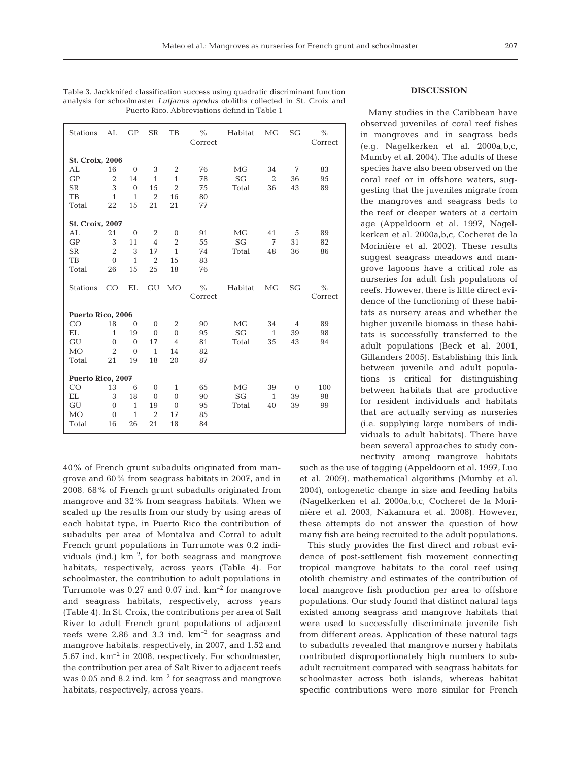| <b>Stations</b>        | AL                             | GP                 | <b>SR</b>            | TB             | $\%$<br>Correct | Habitat | MG             | SG             | $\%$<br>Correct |  |
|------------------------|--------------------------------|--------------------|----------------------|----------------|-----------------|---------|----------------|----------------|-----------------|--|
| <b>St. Croix, 2006</b> |                                |                    |                      |                |                 |         |                |                |                 |  |
| AL                     | 16<br>3<br>2<br>76<br>$\Omega$ |                    |                      |                | MG              | 34      | 7              | 83             |                 |  |
| GP                     | $\overline{2}$                 | 14                 | $\mathbf{1}$         | $\mathbf{1}$   | 78              | SG      | $\overline{2}$ | 36             | 95              |  |
| <b>SR</b>              | 3                              | $\mathbf{0}$       | 15                   | $\overline{2}$ | 75              | Total   | 36             | 43             | 89              |  |
| TB                     | $\mathbf{1}$                   | $\mathbf{1}$       | $\overline{2}$       | 16             | 80              |         |                |                |                 |  |
| Total                  | 22                             | 15                 | 21                   | 21             | 77              |         |                |                |                 |  |
| St. Croix, 2007        |                                |                    |                      |                |                 |         |                |                |                 |  |
| AL                     | 21                             | $\overline{0}$     | 2                    | $\mathbf{0}$   | 91              | MG      | 41             | 5              | 89              |  |
| GP                     | 3                              | 11                 | $\overline{4}$       | $\overline{2}$ | 55              | SG      | 7              | 31             | 82              |  |
| <b>SR</b>              | $\overline{2}$                 | 3                  | 17                   | $\mathbf{1}$   | 74              | Total   |                | 36             | 86              |  |
| TB                     | $\overline{0}$                 | $\mathbf{1}$       | $\overline{2}$       | 15             | 83              |         |                |                |                 |  |
| Total                  | 26                             | 15                 | 25                   | 18             | 76              |         |                |                |                 |  |
|                        |                                |                    |                      |                |                 |         |                |                |                 |  |
| <b>Stations</b>        | CO                             | <b>EL</b>          | GU                   | <b>MO</b>      | $\%$            | Habitat | MG             | SG             | $\frac{0}{0}$   |  |
|                        |                                |                    |                      |                | Correct         |         |                |                | Correct         |  |
| Puerto Rico, 2006      |                                |                    |                      |                |                 |         |                |                |                 |  |
| CO                     | 18                             | $\overline{0}$     | $\overline{0}$       | $\overline{2}$ | 90              | MG      | 34             | $\overline{4}$ | 89              |  |
| EL                     | $\mathbf{1}$                   | 19                 | $\Omega$             | $\Omega$       | 95              | SG      | $\mathbf{1}$   | 39             | 98              |  |
| GU                     | $\mathbf{0}$                   | $\overline{0}$     | 17                   | $\overline{4}$ | 81              | Total   | 35             | 43             | 94              |  |
| <b>MO</b>              | $\overline{2}$                 | $\overline{0}$     | $\mathbf{1}$         | 14             | 82              |         |                |                |                 |  |
| Total                  | 21                             | 19                 | 18                   | 20             | 87              |         |                |                |                 |  |
| Puerto Rico, 2007      |                                |                    |                      |                |                 |         |                |                |                 |  |
| CO                     | 13                             | 6                  | $\overline{0}$       | $\mathbf{1}$   | 65              | MG      | 39             | $\mathbf{0}$   | 100             |  |
| EL                     | 3                              | 18                 | $\Omega$             | $\Omega$       | 90              | SG      | $\mathbf{1}$   | 39             | 98              |  |
| GU                     | $\Omega$                       | $\mathbf{1}$       | 19                   | $\mathbf{0}$   | 95              | Total   | 40             | 39             | 99              |  |
| <b>MO</b><br>Total     | $\Omega$<br>16                 | $\mathbf{1}$<br>26 | $\overline{2}$<br>21 | 17<br>18       | 85<br>84        |         |                |                |                 |  |

Table 3. Jackknifed classification success using quadratic discriminant function analysis for schoolmaster *Lutjanus apodus* otoliths collected in St. Croix and Puerto Rico. Abbreviations defind in Table 1

40% of French grunt subadults originated from mangrove and 60% from seagrass habitats in 2007, and in 2008, 68% of French grunt subadults originated from mangrove and 32% from seagrass habitats. When we scaled up the results from our study by using areas of each habitat type, in Puerto Rico the contribution of subadults per area of Montalva and Corral to adult French grunt populations in Turrumote was 0.2 individuals (ind.)  $km^{-2}$ , for both seagrass and mangrove habitats, respectively, across years (Table 4). For schoolmaster, the contribution to adult populations in Turrumote was  $0.27$  and  $0.07$  ind.  $km^{-2}$  for mangrove and seagrass habitats, respectively, across years (Table 4). In St. Croix, the contributions per area of Salt River to adult French grunt populations of adjacent reefs were 2.86 and 3.3 ind. km–2 for seagrass and mangrove habitats, respectively, in 2007, and 1.52 and 5.67 ind. km–2 in 2008, respectively. For schoolmaster, the contribution per area of Salt River to adjacent reefs was 0.05 and 8.2 ind. km–2 for seagrass and mangrove habitats, respectively, across years.

## **DISCUSSION**

Many studies in the Caribbean have observed juveniles of coral reef fishes in mangroves and in seagrass beds (e.g. Nagelkerken et al. 2000a,b,c, Mumby et al. 2004). The adults of these species have also been observed on the coral reef or in offshore waters, suggesting that the juveniles migrate from the mangroves and seagrass beds to the reef or deeper waters at a certain age (Appeldoorn et al. 1997, Nagelkerken et al. 2000a,b,c, Cocheret de la Morinière et al. 2002). These results suggest seagrass meadows and mangrove lagoons have a critical role as nurseries for adult fish populations of reefs. However, there is little direct evidence of the functioning of these habitats as nursery areas and whether the higher juvenile biomass in these habitats is successfully transferred to the adult populations (Beck et al. 2001, Gillanders 2005). Establishing this link between juvenile and adult populations is critical for distinguishing between habitats that are productive for resident individuals and habitats that are actually serving as nurseries (i.e. supplying large numbers of individuals to adult habitats). There have been several approaches to study connectivity among mangrove habitats

such as the use of tagging (Appeldoorn et al. 1997, Luo et al. 2009), mathematical algorithms (Mumby et al. 2004), ontogenetic change in size and feeding habits (Nagelkerken et al. 2000a,b,c, Cocheret de la Morinière et al. 2003, Nakamura et al. 2008). However, these attempts do not answer the question of how many fish are being recruited to the adult populations.

This study provides the first direct and robust evidence of post-settlement fish movement connecting tropical mangrove habitats to the coral reef using otolith chemistry and estimates of the contribution of local mangrove fish production per area to offshore populations. Our study found that distinct natural tags existed among seagrass and mangrove habitats that were used to successfully discriminate juvenile fish from different areas. Application of these natural tags to subadults revealed that mangrove nursery habitats contributed disproportionately high numbers to subadult recruitment compared with seagrass habitats for schoolmaster across both islands, whereas habitat specific contributions were more similar for French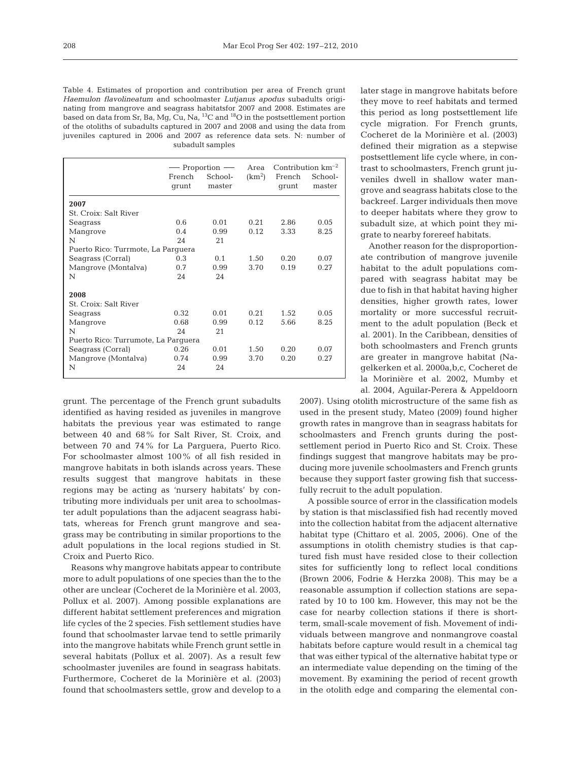Table 4. Estimates of proportion and contribution per area of French grunt *Haemulon flavolineatum* and schoolmaster *Lutjanus apodus* subadults originating from mangrove and seagrass habitatsfor 2007 and 2008. Estimates are based on data from Sr, Ba, Mg, Cu, Na, 13C and 18O in the postsettlement portion of the otoliths of subadults captured in 2007 and 2008 and using the data from juveniles captured in 2006 and 2007 as reference data sets. N: number of subadult samples

|                                     | French<br>qrunt | $Proportion$ —<br>School-<br>master | Area<br>(km <sup>2</sup> ) | Contribution $km^{-2}$<br>French<br>qrunt | School-<br>master |
|-------------------------------------|-----------------|-------------------------------------|----------------------------|-------------------------------------------|-------------------|
| 2007                                |                 |                                     |                            |                                           |                   |
| St. Croix: Salt River               |                 |                                     |                            |                                           |                   |
| Seagrass                            | 0.6             | 0.01                                | 0.21                       | 2.86                                      | 0.05              |
| Mangrove                            | 0.4             | 0.99                                | 0.12                       | 3.33                                      | 8.25              |
| N                                   | 24              | 2.1                                 |                            |                                           |                   |
| Puerto Rico: Turrmote, La Parquera  |                 |                                     |                            |                                           |                   |
| Seagrass (Corral)                   | 0.3             | 0.1                                 | 1.50                       | 0.20                                      | 0.07              |
| Mangrove (Montalva)                 | 0.7             | 0.99                                | 3.70                       | 0.19                                      | 0.27              |
| N                                   | 24              | 24                                  |                            |                                           |                   |
| 2008                                |                 |                                     |                            |                                           |                   |
| St. Croix: Salt River               |                 |                                     |                            |                                           |                   |
| Seagrass                            | 0.32            | 0.01                                | 0.21                       | 1.52                                      | 0.05              |
| Mangrove                            | 0.68            | 0.99                                | 0.12                       | 5.66                                      | 8.25              |
| N                                   | 24              | 21                                  |                            |                                           |                   |
| Puerto Rico: Turrumote, La Parquera |                 |                                     |                            |                                           |                   |
| Seagrass (Corral)                   | 0.26            | 0.01                                | 1.50                       | 0.20                                      | 0.07              |
| Mangrove (Montalva)                 | 0.74            | 0.99                                | 3.70                       | 0.20                                      | 0.27              |
| N                                   | 24              | 24                                  |                            |                                           |                   |

grunt. The percentage of the French grunt subadults identified as having resided as juveniles in mangrove habitats the previous year was estimated to range between 40 and 68% for Salt River, St. Croix, and between 70 and 74% for La Parguera, Puerto Rico. For schoolmaster almost 100% of all fish resided in mangrove habitats in both islands across years. These results suggest that mangrove habitats in these regions may be acting as 'nursery habitats' by contributing more individuals per unit area to schoolmaster adult populations than the adjacent seagrass habitats, whereas for French grunt mangrove and seagrass may be contributing in similar proportions to the adult populations in the local regions studied in St. Croix and Puerto Rico.

Reasons why mangrove habitats appear to contribute more to adult populations of one species than the to the other are unclear (Cocheret de la Morinière et al. 2003, Pollux et al. 2007). Among possible explanations are different habitat settlement preferences and migration life cycles of the 2 species. Fish settlement studies have found that schoolmaster larvae tend to settle primarily into the mangrove habitats while French grunt settle in several habitats (Pollux et al. 2007). As a result few schoolmaster juveniles are found in seagrass habitats. Furthermore, Cocheret de la Morinière et al. (2003) found that schoolmasters settle, grow and develop to a later stage in mangrove habitats before they move to reef habitats and termed this period as long postsettlement life cycle migration. For French grunts, Cocheret de la Morinière et al. (2003) defined their migration as a stepwise postsettlement life cycle where, in contrast to schoolmasters, French grunt juveniles dwell in shallow water mangrove and seagrass habitats close to the backreef. Larger individuals then move to deeper habitats where they grow to subadult size, at which point they migrate to nearby forereef habitats.

Another reason for the disproportionate contribution of mangrove juvenile habitat to the adult populations compared with seagrass habitat may be due to fish in that habitat having higher densities, higher growth rates, lower mortality or more successful recruitment to the adult population (Beck et al. 2001). In the Caribbean, densities of both schoolmasters and French grunts are greater in mangrove habitat (Nagelkerken et al. 2000a,b,c, Cocheret de la Morinière et al. 2002, Mumby et al. 2004, Aguilar-Perera & Appeldoorn

2007). Using otolith microstructure of the same fish as used in the present study, Mateo (2009) found higher growth rates in mangrove than in seagrass habitats for schoolmasters and French grunts during the postsettlement period in Puerto Rico and St. Croix. These findings suggest that mangrove habitats may be producing more juvenile schoolmasters and French grunts because they support faster growing fish that successfully recruit to the adult population.

A possible source of error in the classification models by station is that misclassified fish had recently moved into the collection habitat from the adjacent alternative habitat type (Chittaro et al. 2005, 2006). One of the assumptions in otolith chemistry studies is that captured fish must have resided close to their collection sites for sufficiently long to reflect local conditions (Brown 2006, Fodrie & Herzka 2008). This may be a reasonable assumption if collection stations are separated by 10 to 100 km. However, this may not be the case for nearby collection stations if there is shortterm, small-scale movement of fish. Movement of individuals between mangrove and nonmangrove coastal habitats before capture would result in a chemical tag that was either typical of the alternative habitat type or an intermediate value depending on the timing of the movement. By examining the period of recent growth in the otolith edge and comparing the elemental con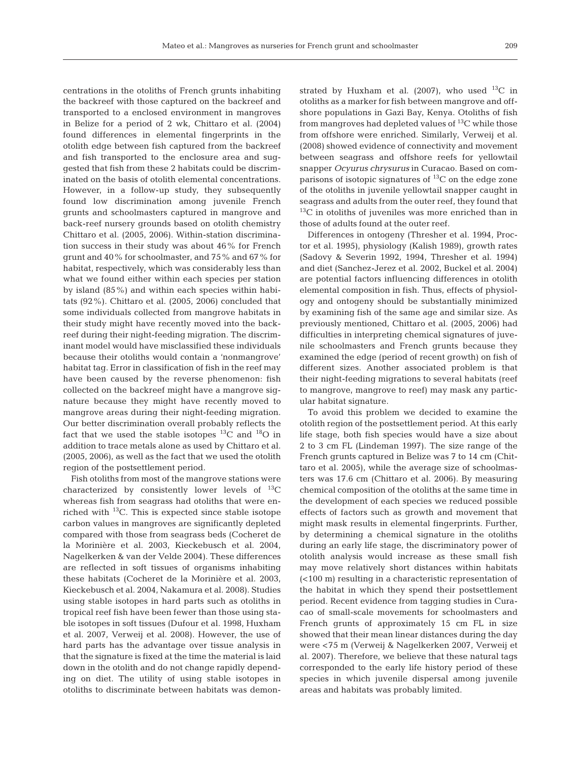centrations in the otoliths of French grunts inhabiting the backreef with those captured on the backreef and transported to a enclosed environment in mangroves in Belize for a period of 2 wk, Chittaro et al. (2004) found differences in elemental fingerprints in the otolith edge between fish captured from the backreef and fish transported to the enclosure area and suggested that fish from these 2 habitats could be discriminated on the basis of otolith elemental concentrations. However, in a follow-up study, they subsequently found low discrimination among juvenile French grunts and schoolmasters captured in mangrove and back-reef nursery grounds based on otolith chemistry Chittaro et al. (2005, 2006). Within-station discrimination success in their study was about 46% for French grunt and 40% for schoolmaster, and 75% and 67% for habitat, respectively, which was considerably less than what we found either within each species per station by island (85%) and within each species within habitats (92%). Chittaro et al. (2005, 2006) concluded that some individuals collected from mangrove habitats in their study might have recently moved into the backreef during their night-feeding migration. The discriminant model would have misclassified these individuals because their otoliths would contain a 'nonmangrove' habitat tag. Error in classification of fish in the reef may have been caused by the reverse phenomenon: fish collected on the backreef might have a mangrove signature because they might have recently moved to mangrove areas during their night-feeding migration. Our better discrimination overall probably reflects the fact that we used the stable isotopes  $^{13}$ C and  $^{18}$ O in addition to trace metals alone as used by Chittaro et al. (2005, 2006), as well as the fact that we used the otolith region of the postsettlement period.

Fish otoliths from most of the mangrove stations were characterized by consistently lower levels of 13C whereas fish from seagrass had otoliths that were enriched with  $^{13}$ C. This is expected since stable isotope carbon values in mangroves are significantly depleted compared with those from seagrass beds (Cocheret de la Morinière et al. 2003, Kieckebusch et al. 2004, Nagelkerken & van der Velde 2004). These differences are reflected in soft tissues of organisms inhabiting these habitats (Cocheret de la Morinière et al. 2003, Kieckebusch et al. 2004, Nakamura et al. 2008). Studies using stable isotopes in hard parts such as otoliths in tropical reef fish have been fewer than those using stable isotopes in soft tissues (Dufour et al. 1998, Huxham et al. 2007, Verweij et al. 2008). However, the use of hard parts has the advantage over tissue analysis in that the signature is fixed at the time the material is laid down in the otolith and do not change rapidly depending on diet. The utility of using stable isotopes in otoliths to discriminate between habitats was demonstrated by Huxham et al. (2007), who used  $^{13}C$  in otoliths as a marker for fish between mangrove and offshore populations in Gazi Bay, Kenya. Otoliths of fish from mangroves had depleted values of  $^{13}C$  while those from offshore were enriched. Similarly, Verweij et al. (2008) showed evidence of connectivity and movement between seagrass and offshore reefs for yellowtail snapper *Ocyurus chrysurus* in Curacao. Based on comparisons of isotopic signatures of  ${}^{13}$ C on the edge zone of the otoliths in juvenile yellowtail snapper caught in seagrass and adults from the outer reef, they found that 13C in otoliths of juveniles was more enriched than in those of adults found at the outer reef.

Differences in ontogeny (Thresher et al. 1994, Proctor et al. 1995), physiology (Kalish 1989), growth rates (Sadovy & Severin 1992, 1994, Thresher et al. 1994) and diet (Sanchez-Jerez et al. 2002, Buckel et al. 2004) are potential factors influencing differences in otolith elemental composition in fish. Thus, effects of physiology and ontogeny should be substantially minimized by examining fish of the same age and similar size. As previously mentioned, Chittaro et al. (2005, 2006) had difficulties in interpreting chemical signatures of juvenile schoolmasters and French grunts because they examined the edge (period of recent growth) on fish of different sizes. Another associated problem is that their night-feeding migrations to several habitats (reef to mangrove, mangrove to reef) may mask any particular habitat signature.

To avoid this problem we decided to examine the otolith region of the postsettlement period. At this early life stage, both fish species would have a size about 2 to 3 cm FL (Lindeman 1997). The size range of the French grunts captured in Belize was 7 to 14 cm (Chittaro et al. 2005), while the average size of schoolmasters was 17.6 cm (Chittaro et al. 2006). By measuring chemical composition of the otoliths at the same time in the development of each species we reduced possible effects of factors such as growth and movement that might mask results in elemental fingerprints. Further, by determining a chemical signature in the otoliths during an early life stage, the discriminatory power of otolith analysis would increase as these small fish may move relatively short distances within habitats (<100 m) resulting in a characteristic representation of the habitat in which they spend their postsettlement period. Recent evidence from tagging studies in Curacao of small-scale movements for schoolmasters and French grunts of approximately 15 cm FL in size showed that their mean linear distances during the day were <75 m (Verweij & Nagelkerken 2007, Verweij et al. 2007). Therefore, we believe that these natural tags corresponded to the early life history period of these species in which juvenile dispersal among juvenile areas and habitats was probably limited.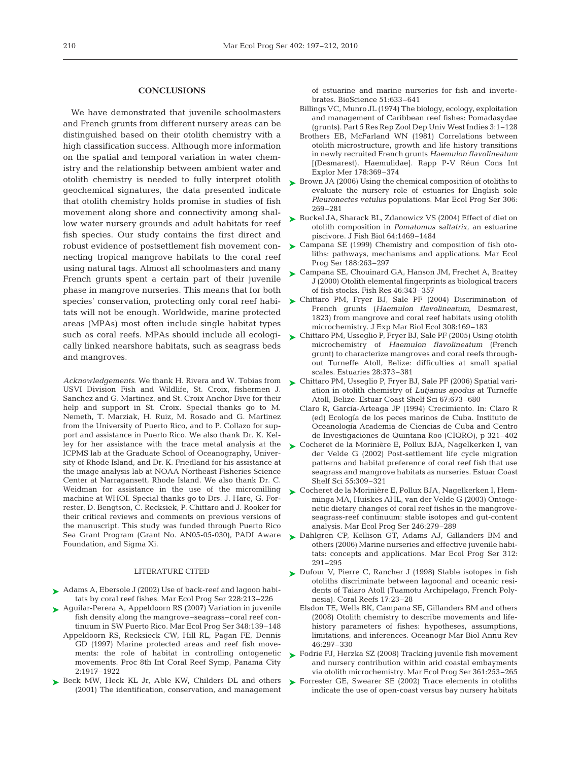#### **CONCLUSIONS**

We have demonstrated that juvenile schoolmasters and French grunts from different nursery areas can be distinguished based on their otolith chemistry with a high classification success. Although more information on the spatial and temporal variation in water chemistry and the relationship between ambient water and otolith chemistry is needed to fully interpret otolith geochemical signatures, the data presented indicate that otolith chemistry holds promise in studies of fish movement along shore and connectivity among shallow water nursery grounds and adult habitats for reef fish species. Our study contains the first direct and robust evidence of postsettlement fish movement connecting tropical mangrove habitats to the coral reef using natural tags. Almost all schoolmasters and many French grunts spent a certain part of their juvenile phase in mangrove nurseries. This means that for both species' conservation, protecting only coral reef habitats will not be enough. Worldwide, marine protected areas (MPAs) most often include single habitat types such as coral reefs. MPAs should include all ecologically linked nearshore habitats, such as seagrass beds and mangroves.

*Acknowledgements.* We thank H. Rivera and W. Tobias from ← Chittaro PM, Usseglio P, Fryer BJ, Sale PF (2006) Spatial vari-USVI Division Fish and Wildlife, St. Croix, fishermen J. Sanchez and G. Martinez, and St. Croix Anchor Dive for their help and support in St. Croix. Special thanks go to M. Nemeth, T. Marziak, H. Ruiz, M. Rosado and G. Martinez from the University of Puerto Rico, and to P. Collazo for support and assistance in Puerto Rico. We also thank Dr. K. Kelley for her assistance with the trace metal analysis at the ICPMS lab at the Graduate School of Oceanography, University of Rhode Island, and Dr. K. Friedland for his assistance at the image analysis lab at NOAA Northeast Fisheries Science Center at Narragansett, Rhode Island. We also thank Dr. C. Weidman for assistance in the use of the micromilling machine at WHOI. Special thanks go to Drs. J. Hare, G. Forrester, D. Bengtson, C. Recksiek, P. Chittaro and J. Rooker for their critical reviews and comments on previous versions of the manuscript. This study was funded through Puerto Rico Sea Grant Program (Grant No. AN05-05-030), PADI Aware Foundation, and Sigma Xi.

## LITERATURE CITED

- ▶ Adams A, Ebersole J (2002) Use of back-reef and lagoon habitats by coral reef fishes. Mar Ecol Prog Ser 228:213–226
- ► Aguilar-Perera A, Appeldoorn RS (2007) Variation in juvenile fish density along the mangrove–seagrass–coral reef continuum in SW Puerto Rico. Mar Ecol Prog Ser 348:139–148
	- Appeldoorn RS, Recksieck CW, Hill RL, Pagan FE, Dennis GD (1997) Marine protected areas and reef fish movements: the role of habitat in controlling ontogenetic movements. Proc 8th Int Coral Reef Symp, Panama City 2:1917–1922
- ▶ Beck MW, Heck KL Jr, Able KW, Childers DL and others (2001) The identification, conservation, and management

of estuarine and marine nurseries for fish and invertebrates. BioScience 51:633–641

- Billings VC, Munro JL (1974) The biology, ecology, exploitation and management of Caribbean reef fishes: Pomadasydae (grunts). Part 5 Res Rep Zool Dep Univ West Indies 3:1–128
- Brothers EB, McFarland WN (1981) Correlations between otolith microstructure, growth and life history transitions in newly recruited French grunts *Haemulon flavolineatum* [(Desmarest), Haemulidae]. Rapp P-V Réun Cons Int Explor Mer 178:369–374
- ► Brown JA (2006) Using the chemical composition of otoliths to evaluate the nursery role of estuaries for English sole *Pleuronectes vetulus* populations. Mar Ecol Prog Ser 306: 269–281
- ► Buckel JA, Sharack BL, Zdanowicz VS (2004) Effect of diet on otolith composition in *Pomatomus saltatrix*, an estuarine piscivore. J Fish Biol 64:1469–1484
- ► Campana SE (1999) Chemistry and composition of fish otoliths: pathways, mechanisms and applications. Mar Ecol Prog Ser 188:263–297
- ► Campana SE, Chouinard GA, Hanson JM, Frechet A, Brattey J (2000) Otolith elemental fingerprints as biological tracers of fish stocks. Fish Res 46:343–357
- ► Chittaro PM, Fryer BJ, Sale PF (2004) Discrimination of French grunts (*Haemulon flavolineatum*, Desmarest, 1823) from mangrove and coral reef habitats using otolith microchemistry. J Exp Mar Biol Ecol 308:169–183
- ► Chittaro PM, Usseglio P, Fryer BJ, Sale PF (2005) Using otolith microchemistry of *Haemulon flavolineatum* (French grunt) to characterize mangroves and coral reefs throughout Turneffe Atoll, Belize: difficulties at small spatial scales. Estuaries 28:373–381
- ation in otolith chemistry of *Lutjanus apodus* at Turneffe Atoll, Belize. Estuar Coast Shelf Sci 67:673–680
- Claro R, García-Arteaga JP (1994) Crecimiento. In: Claro R (ed) Ecología de los peces marinos de Cuba. Instituto de Oceanología Academia de Ciencias de Cuba and Centro de Investigaciones de Quintana Roo (CIQRO), p 321–402
- ► Cocheret de la Morinière E, Pollux BJA, Nagelkerken I, van der Velde G (2002) Post-settlement life cycle migration patterns and habitat preference of coral reef fish that use seagrass and mangrove habitats as nurseries. Estuar Coast Shelf Sci 55:309–321
- ► Cocheret de la Morinière E, Pollux BJA, Nagelkerken I, Hemminga MA, Huiskes AHL, van der Velde G (2003) Ontogenetic dietary changes of coral reef fishes in the mangroveseagrass-reef continuum: stable isotopes and gut-content analysis. Mar Ecol Prog Ser 246:279–289
- ▶ Dahlgren CP, Kellison GT, Adams AJ, Gillanders BM and others (2006) Marine nurseries and effective juvenile habitats: concepts and applications. Mar Ecol Prog Ser 312: 291–295
- ► Dufour V, Pierre C, Rancher J (1998) Stable isotopes in fish otoliths discriminate between lagoonal and oceanic residents of Taiaro Atoll (Tuamotu Archipelago, French Polynesia). Coral Reefs 17:23–28
	- Elsdon TE, Wells BK, Campana SE, Gillanders BM and others (2008) Otolith chemistry to describe movements and lifehistory parameters of fishes: hypotheses, assumptions, limitations, and inferences. Oceanogr Mar Biol Annu Rev 46:297–330
- ► Fodrie FJ, Herzka SZ (2008) Tracking juvenile fish movement and nursery contribution within arid coastal embayments via otolith microchemistry. Mar Ecol Prog Ser 361:253–265
- ► Forrester GE, Swearer SE (2002) Trace elements in otoliths indicate the use of open-coast versus bay nursery habitats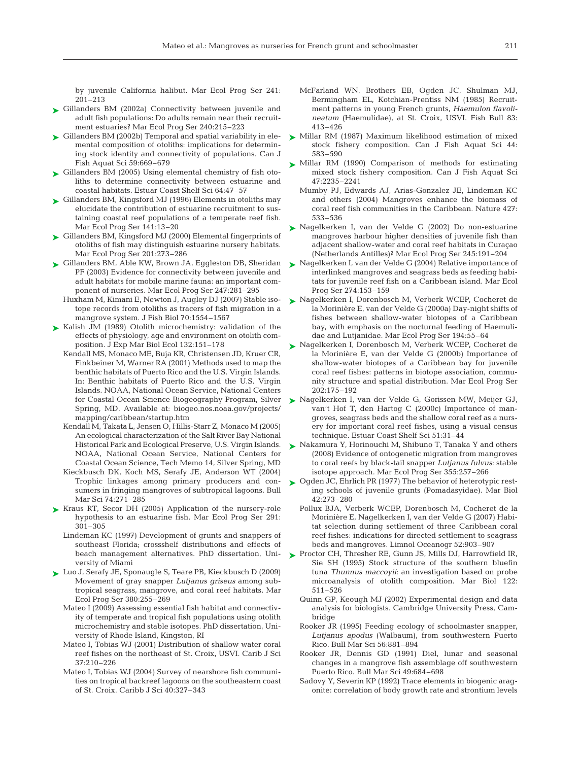by juvenile California halibut. Mar Ecol Prog Ser 241: 201–213

- ► Gillanders BM (2002a) Connectivity between juvenile and adult fish populations: Do adults remain near their recruitment estuaries? Mar Ecol Prog Ser 240:215–223
- ► Gillanders BM (2002b) Temporal and spatial variability in elemental composition of otoliths: implications for determining stock identity and connectivity of populations. Can J Fish Aquat Sci 59:669–679
- ► Gillanders BM (2005) Using elemental chemistry of fish otoliths to determine connectivity between estuarine and coastal habitats. Estuar Coast Shelf Sci 64:47–57
- ► Gillanders BM, Kingsford MJ (1996) Elements in otoliths may elucidate the contribution of estuarine recruitment to sustaining coastal reef populations of a temperate reef fish. Mar Ecol Prog Ser 141:13–20
- ► Gillanders BM, Kingsford MJ (2000) Elemental fingerprints of otoliths of fish may distinguish estuarine nursery habitats. Mar Ecol Prog Ser 201:273–286
- ► Gillanders BM, Able KW, Brown JA, Eggleston DB, Sheridan PF (2003) Evidence for connectivity between juvenile and adult habitats for mobile marine fauna: an important component of nurseries. Mar Ecol Prog Ser 247:281–295
	- Huxham M, Kimani E, Newton J, Augley DJ (2007) Stable isotope records from otoliths as tracers of fish migration in a mangrove system. J Fish Biol 70:1554–1567
- ► Kalish JM (1989) Otolith microchemistry: validation of the effects of physiology, age and environment on otolith composition. J Exp Mar Biol Ecol 132:151–178
	- Kendall MS, Monaco ME, Buja KR, Christensen JD, Kruer CR, Finkbeiner M, Warner RA (2001) Methods used to map the benthic habitats of Puerto Rico and the U.S. Virgin Islands. In: Benthic habitats of Puerto Rico and the U.S. Virgin Islands. NOAA, National Ocean Service, National Centers for Coastal Ocean Science Biogeography Program, Silver Spring, MD. Available at: biogeo.nos.noaa.gov/projects/ mapping/caribbean/startup.htm
	- Kendall M, Takata L, Jensen O, Hillis-Starr Z, Monaco M (2005) An ecological characterization of the Salt River Bay National Historical Park and Ecological Preserve, U.S. Virgin Islands. NOAA, National Ocean Service, National Centers for Coastal Ocean Science, Tech Memo 14, Silver Spring, MD
	- Kieckbusch DK, Koch MS, Serafy JE, Anderson WT (2004) Trophic linkages among primary producers and consumers in fringing mangroves of subtropical lagoons. Bull Mar Sci 74:271–285
- ► Kraus RT, Secor DH (2005) Application of the nursery-role hypothesis to an estuarine fish. Mar Ecol Prog Ser 291: 301–305
	- Lindeman KC (1997) Development of grunts and snappers of southeast Florida; crossshelf distributions and effects of beach management alternatives. PhD dissertation, University of Miami
- ► Luo J, Serafy JE, Sponaugle S, Teare PB, Kieckbusch D (2009) Movement of gray snapper *Lutjanus griseus* among subtropical seagrass, mangrove, and coral reef habitats. Mar Ecol Prog Ser 380:255–269
	- Mateo I (2009) Assessing essential fish habitat and connectivity of temperate and tropical fish populations using otolith microchemistry and stable isotopes. PhD dissertation, University of Rhode Island, Kingston, RI
	- Mateo I, Tobias WJ (2001) Distribution of shallow water coral reef fishes on the northeast of St. Croix, USVI. Carib J Sci 37:210–226
	- Mateo I, Tobias WJ (2004) Survey of nearshore fish communities on tropical backreef lagoons on the southeastern coast of St. Croix. Caribb J Sci 40:327–343
- McFarland WN, Brothers EB, Ogden JC, Shulman MJ, Bermingham EL, Kotchian-Prentiss NM (1985) Recruitment patterns in young French grunts, *Haemulon flavolineatum* (Haemulidae), at St. Croix, USVI. Fish Bull 83: 413–426
- ► Millar RM (1987) Maximum likelihood estimation of mixed stock fishery composition. Can J Fish Aquat Sci 44: 583–590
- ► Millar RM (1990) Comparison of methods for estimating mixed stock fishery composition. Can J Fish Aquat Sci 47:2235–2241
	- Mumby PJ, Edwards AJ, Arias-Gonzalez JE, Lindeman KC and others (2004) Mangroves enhance the biomass of coral reef fish communities in the Caribbean. Nature 427: 533–536
- ► Nagelkerken I, van der Velde G (2002) Do non-estuarine mangroves harbour higher densities of juvenile fish than adjacent shallow-water and coral reef habitats in Curaçao (Netherlands Antilles)? Mar Ecol Prog Ser 245:191–204
- ► Nagelkerken I, van der Velde G (2004) Relative importance of interlinked mangroves and seagrass beds as feeding habitats for juvenile reef fish on a Caribbean island. Mar Ecol Prog Ser 274:153–159
- ► Nagelkerken I, Dorenbosch M, Verberk WCEP, Cocheret de la Morinière E, van der Velde G (2000a) Day-night shifts of fishes between shallow-water biotopes of a Caribbean bay, with emphasis on the nocturnal feeding of Haemulidae and Lutjanidae. Mar Ecol Prog Ser 194:55–64
- ► Nagelkerken I, Dorenbosch M, Verberk WCEP, Cocheret de la Morinière E, van der Velde G (2000b) Importance of shallow-water biotopes of a Caribbean bay for juvenile coral reef fishes: patterns in biotope association, community structure and spatial distribution. Mar Ecol Prog Ser 202:175–192
- ► Nagelkerken I, van der Velde G, Gorissen MW, Meijer GJ, van't Hof T, den Hartog C (2000c) Importance of mangroves, seagrass beds and the shallow coral reef as a nursery for important coral reef fishes, using a visual census technique. Estuar Coast Shelf Sci 51:31–44
- ► Nakamura Y, Horinouchi M, Shibuno T, Tanaka Y and others (2008) Evidence of ontogenetic migration from mangroves to coral reefs by black-tail snapper *Lutjanus fulvus*: stable isotope approach. Mar Ecol Prog Ser 355:257–266
- ▶ Ogden JC, Ehrlich PR (1977) The behavior of heterotypic resting schools of juvenile grunts (Pomadasyidae). Mar Biol 42:273–280
	- Pollux BJA, Verberk WCEP, Dorenbosch M, Cocheret de la Morinière E, Nagelkerken I, van der Velde G (2007) Habitat selection during settlement of three Caribbean coral reef fishes: indications for directed settlement to seagrass beds and mangroves. Limnol Oceanogr 52:903–907
- ▶ Proctor CH, Thresher RE, Gunn JS, Mills DJ, Harrowfield IR, Sie SH (1995) Stock structure of the southern bluefin tuna *Thunnus maccoyii*: an investigation based on probe microanalysis of otolith composition. Mar Biol 122: 511–526
	- Quinn GP, Keough MJ (2002) Experimental design and data analysis for biologists. Cambridge University Press, Cambridge
	- Rooker JR (1995) Feeding ecology of schoolmaster snapper, *Lutjanus apodus* (Walbaum), from southwestern Puerto Rico. Bull Mar Sci 56:881–894
	- Rooker JR, Dennis GD (1991) Diel, lunar and seasonal changes in a mangrove fish assemblage off southwestern Puerto Rico. Bull Mar Sci 49:684–698
	- Sadovy Y, Severin KP (1992) Trace elements in biogenic aragonite: correlation of body growth rate and strontium levels